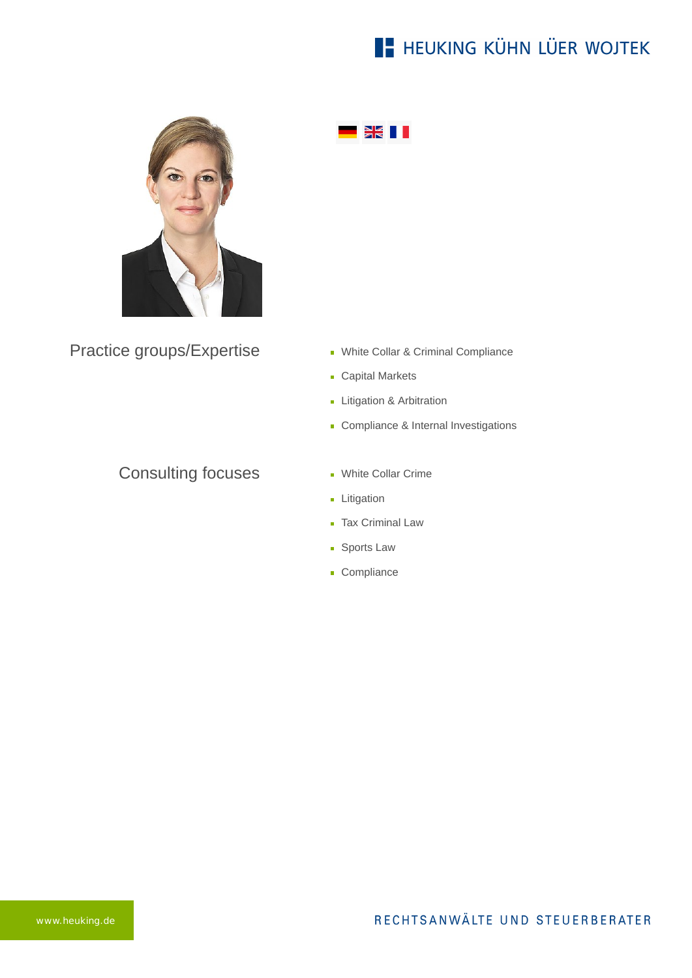# **E- HEUKING KÜHN LÜER WOJTEK**



Practice groups/Expertise

#### Consulting focuses

- White Collar & Criminal Compliance
- **Capital Markets**
- **Litigation & Arbitration**

 $\frac{N}{2}$  ii

- **Compliance & Internal Investigations**
- **White Collar Crime**
- **Litigation**
- **Tax Criminal Law**
- **Sports Law**
- Compliance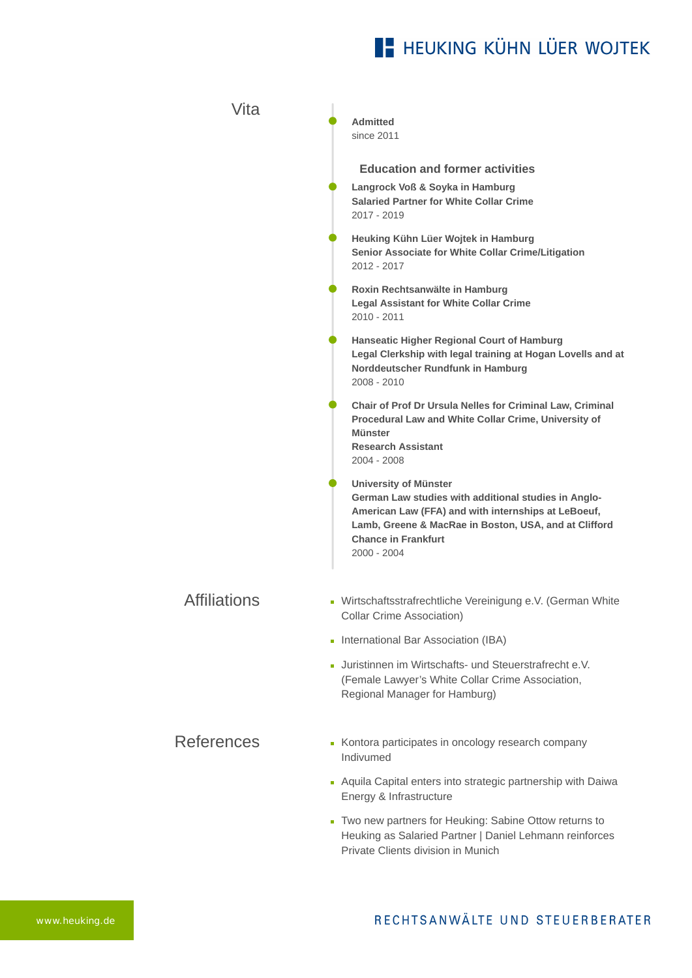# **E- HEUKING KÜHN LÜER WOJTEK**

| Vita                | <b>Admitted</b><br>since 2011                                                                                                                                                                                                                     |
|---------------------|---------------------------------------------------------------------------------------------------------------------------------------------------------------------------------------------------------------------------------------------------|
|                     | <b>Education and former activities</b>                                                                                                                                                                                                            |
|                     | Langrock Voß & Soyka in Hamburg<br><b>Salaried Partner for White Collar Crime</b><br>2017 - 2019                                                                                                                                                  |
|                     | Heuking Kühn Lüer Wojtek in Hamburg<br>Senior Associate for White Collar Crime/Litigation<br>2012 - 2017                                                                                                                                          |
|                     | Roxin Rechtsanwälte in Hamburg<br><b>Legal Assistant for White Collar Crime</b><br>2010 - 2011                                                                                                                                                    |
|                     | Hanseatic Higher Regional Court of Hamburg<br>Legal Clerkship with legal training at Hogan Lovells and at<br>Norddeutscher Rundfunk in Hamburg<br>2008 - 2010                                                                                     |
|                     | Chair of Prof Dr Ursula Nelles for Criminal Law, Criminal<br>Procedural Law and White Collar Crime, University of<br>Münster<br><b>Research Assistant</b><br>2004 - 2008                                                                          |
|                     | <b>University of Münster</b><br>German Law studies with additional studies in Anglo-<br>American Law (FFA) and with internships at LeBoeuf,<br>Lamb, Greene & MacRae in Boston, USA, and at Clifford<br><b>Chance in Frankfurt</b><br>2000 - 2004 |
| <b>Affiliations</b> | • Wirtschaftsstrafrechtliche Vereinigung e.V. (German White<br>Collar Crime Association)                                                                                                                                                          |
|                     | International Bar Association (IBA)                                                                                                                                                                                                               |
|                     | - Juristinnen im Wirtschafts- und Steuerstrafrecht e.V.<br>(Female Lawyer's White Collar Crime Association,<br>Regional Manager for Hamburg)                                                                                                      |
| <b>References</b>   | Kontora participates in oncology research company<br>Indivumed                                                                                                                                                                                    |
|                     | Aquila Capital enters into strategic partnership with Daiwa<br>Energy & Infrastructure                                                                                                                                                            |
|                     | Two new partners for Heuking: Sabine Ottow returns to<br>Heuking as Salaried Partner   Daniel Lehmann reinforces<br>Private Clients division in Munich                                                                                            |